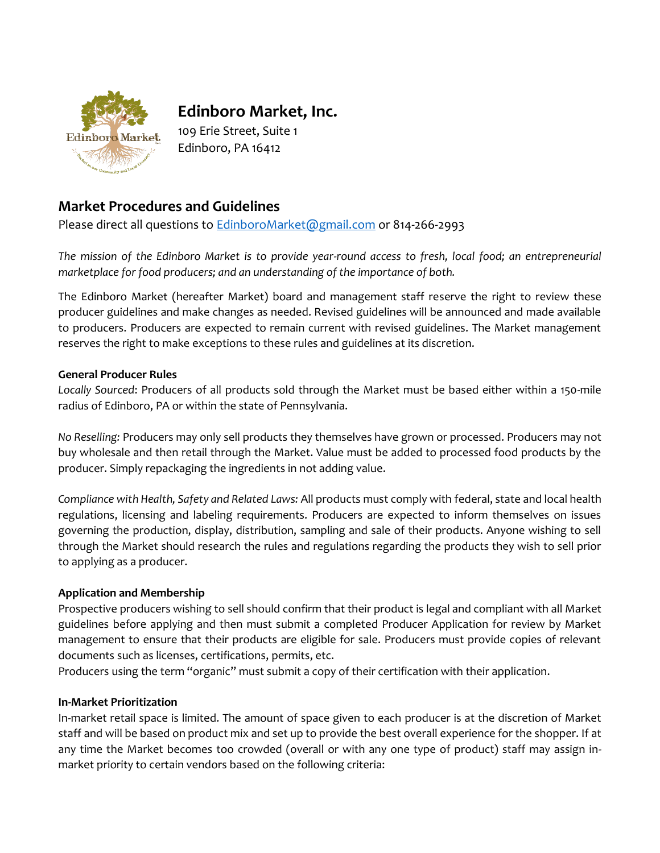

# **Edinboro Market, Inc.**

109 Erie Street, Suite 1 Edinboro, PA 16412

# **Market Procedures and Guidelines**

Please direct all questions to **EdinboroMarket@gmail.com** or 814-266-2993

*The mission of the Edinboro Market is to provide year-round access to fresh, local food; an entrepreneurial marketplace for food producers; and an understanding of the importance of both.*

The Edinboro Market (hereafter Market) board and management staff reserve the right to review these producer guidelines and make changes as needed. Revised guidelines will be announced and made available to producers. Producers are expected to remain current with revised guidelines. The Market management reserves the right to make exceptions to these rules and guidelines at its discretion.

# **General Producer Rules**

*Locally Sourced*: Producers of all products sold through the Market must be based either within a 150-mile radius of Edinboro, PA or within the state of Pennsylvania.

*No Reselling:* Producers may only sell products they themselves have grown or processed. Producers may not buy wholesale and then retail through the Market. Value must be added to processed food products by the producer. Simply repackaging the ingredients in not adding value.

*Compliance with Health, Safety and Related Laws:* All products must comply with federal, state and local health regulations, licensing and labeling requirements. Producers are expected to inform themselves on issues governing the production, display, distribution, sampling and sale of their products. Anyone wishing to sell through the Market should research the rules and regulations regarding the products they wish to sell prior to applying as a producer.

# **Application and Membership**

Prospective producers wishing to sell should confirm that their product is legal and compliant with all Market guidelines before applying and then must submit a completed Producer Application for review by Market management to ensure that their products are eligible for sale. Producers must provide copies of relevant documents such as licenses, certifications, permits, etc.

Producers using the term "organic" must submit a copy of their certification with their application.

# **In-Market Prioritization**

In-market retail space is limited. The amount of space given to each producer is at the discretion of Market staff and will be based on product mix and set up to provide the best overall experience for the shopper. If at any time the Market becomes too crowded (overall or with any one type of product) staff may assign inmarket priority to certain vendors based on the following criteria: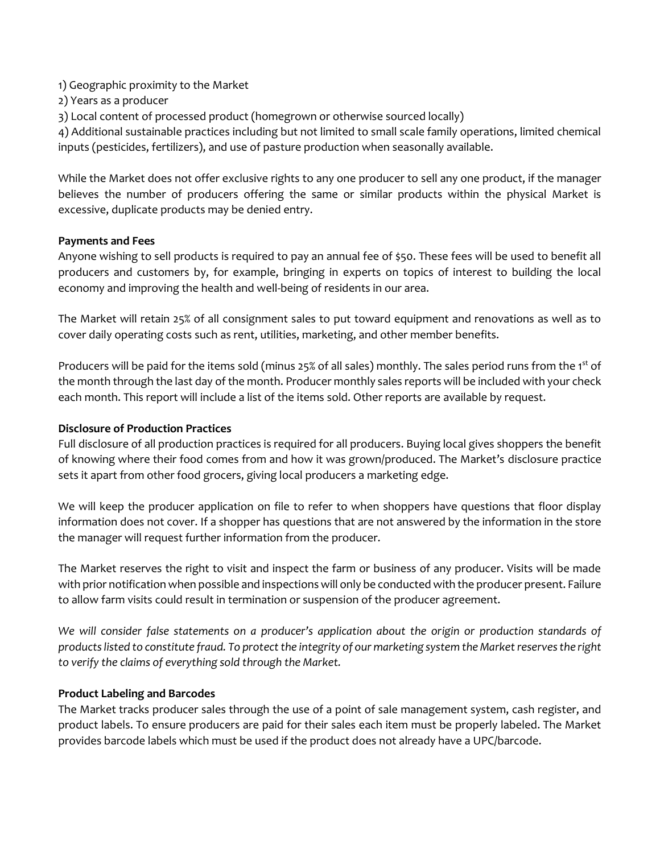- 1) Geographic proximity to the Market
- 2) Years as a producer
- 3) Local content of processed product (homegrown or otherwise sourced locally)

4) Additional sustainable practices including but not limited to small scale family operations, limited chemical inputs (pesticides, fertilizers), and use of pasture production when seasonally available.

While the Market does not offer exclusive rights to any one producer to sell any one product, if the manager believes the number of producers offering the same or similar products within the physical Market is excessive, duplicate products may be denied entry.

#### **Payments and Fees**

Anyone wishing to sell products is required to pay an annual fee of \$50. These fees will be used to benefit all producers and customers by, for example, bringing in experts on topics of interest to building the local economy and improving the health and well-being of residents in our area.

The Market will retain 25% of all consignment sales to put toward equipment and renovations as well as to cover daily operating costs such as rent, utilities, marketing, and other member benefits.

Producers will be paid for the items sold (minus 25% of all sales) monthly. The sales period runs from the 1<sup>st</sup> of the month through the last day of the month. Producer monthly sales reports will be included with your check each month. This report will include a list of the items sold. Other reports are available by request.

#### **Disclosure of Production Practices**

Full disclosure of all production practices is required for all producers. Buying local gives shoppers the benefit of knowing where their food comes from and how it was grown/produced. The Market's disclosure practice sets it apart from other food grocers, giving local producers a marketing edge.

We will keep the producer application on file to refer to when shoppers have questions that floor display information does not cover. If a shopper has questions that are not answered by the information in the store the manager will request further information from the producer.

The Market reserves the right to visit and inspect the farm or business of any producer. Visits will be made with prior notification when possible and inspections will only be conducted with the producer present. Failure to allow farm visits could result in termination or suspension of the producer agreement.

*We will consider false statements on a producer's application about the origin or production standards of products listed to constitute fraud. To protect the integrity of our marketing system the Market reserves the right to verify the claims of everything sold through the Market.*

# **Product Labeling and Barcodes**

The Market tracks producer sales through the use of a point of sale management system, cash register, and product labels. To ensure producers are paid for their sales each item must be properly labeled. The Market provides barcode labels which must be used if the product does not already have a UPC/barcode.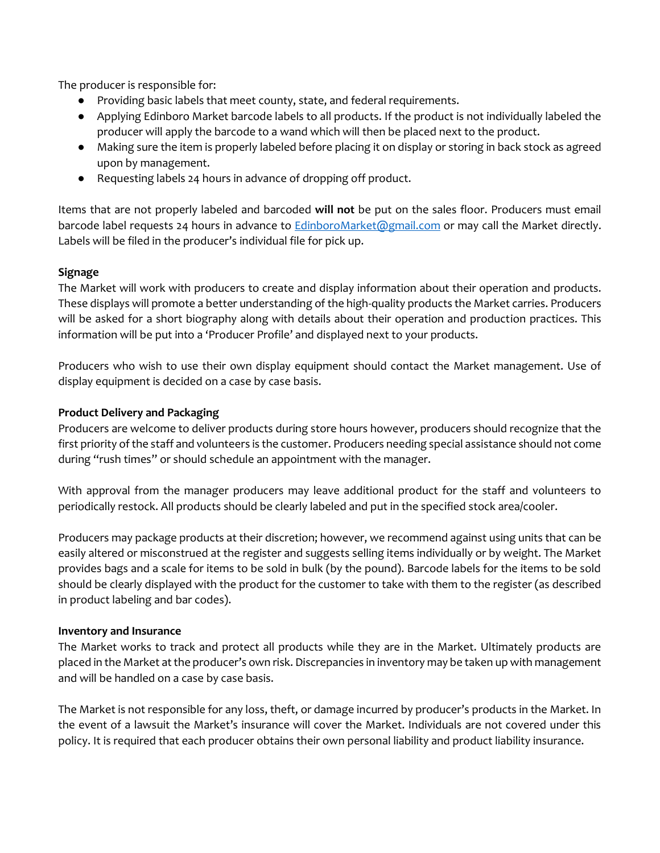The producer is responsible for:

- Providing basic labels that meet county, state, and federal requirements.
- Applying Edinboro Market barcode labels to all products. If the product is not individually labeled the producer will apply the barcode to a wand which will then be placed next to the product.
- Making sure the item is properly labeled before placing it on display or storing in back stock as agreed upon by management.
- Requesting labels 24 hours in advance of dropping off product.

Items that are not properly labeled and barcoded **will not** be put on the sales floor. Producers must email barcode label requests 24 hours in advance to **EdinboroMarket@gmail.com** or may call the Market directly. Labels will be filed in the producer's individual file for pick up.

# **Signage**

The Market will work with producers to create and display information about their operation and products. These displays will promote a better understanding of the high-quality products the Market carries. Producers will be asked for a short biography along with details about their operation and production practices. This information will be put into a 'Producer Profile' and displayed next to your products.

Producers who wish to use their own display equipment should contact the Market management. Use of display equipment is decided on a case by case basis.

#### **Product Delivery and Packaging**

Producers are welcome to deliver products during store hours however, producers should recognize that the first priority of the staff and volunteers is the customer. Producers needing special assistance should not come during "rush times" or should schedule an appointment with the manager.

With approval from the manager producers may leave additional product for the staff and volunteers to periodically restock. All products should be clearly labeled and put in the specified stock area/cooler.

Producers may package products at their discretion; however, we recommend against using units that can be easily altered or misconstrued at the register and suggests selling items individually or by weight. The Market provides bags and a scale for items to be sold in bulk (by the pound). Barcode labels for the items to be sold should be clearly displayed with the product for the customer to take with them to the register (as described in product labeling and bar codes).

#### **Inventory and Insurance**

The Market works to track and protect all products while they are in the Market. Ultimately products are placed in the Market at the producer's own risk. Discrepancies in inventory may be taken up with management and will be handled on a case by case basis.

The Market is not responsible for any loss, theft, or damage incurred by producer's products in the Market. In the event of a lawsuit the Market's insurance will cover the Market. Individuals are not covered under this policy. It is required that each producer obtains their own personal liability and product liability insurance.